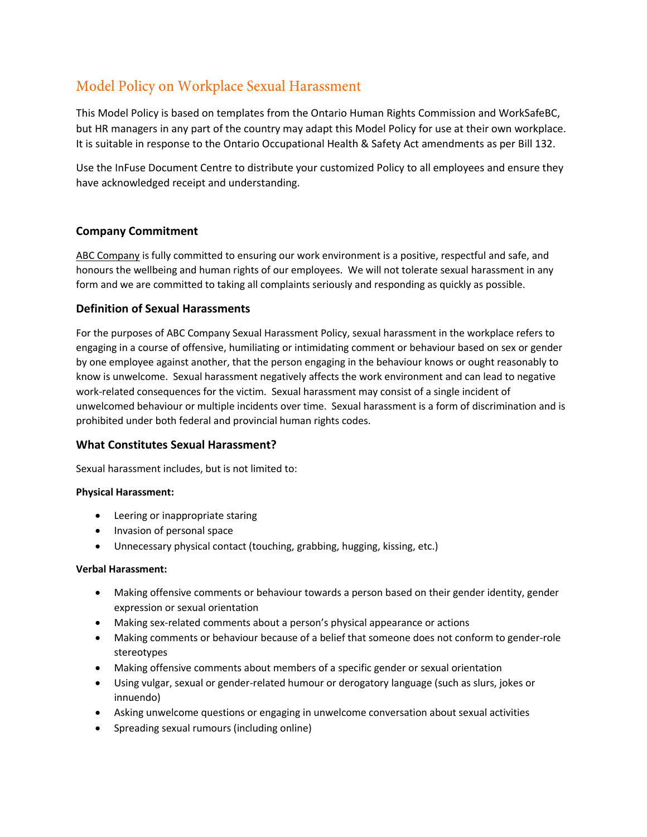# Model Policy on Workplace Sexual Harassment

This Model Policy is based on templates from the Ontario Human Rights Commission and WorkSafeBC, but HR managers in any part of the country may adapt this Model Policy for use at their own workplace. It is suitable in response to the Ontario Occupational Health & Safety Act amendments as per Bill 132.

Use the InFuse Document Centre to distribute your customized Policy to all employees and ensure they have acknowledged receipt and understanding.

# **Company Commitment**

ABC Company is fully committed to ensuring our work environment is a positive, respectful and safe, and honours the wellbeing and human rights of our employees. We will not tolerate sexual harassment in any form and we are committed to taking all complaints seriously and responding as quickly as possible.

#### **Definition of Sexual Harassments**

For the purposes of ABC Company Sexual Harassment Policy, sexual harassment in the workplace refers to engaging in a course of offensive, humiliating or intimidating comment or behaviour based on sex or gender by one employee against another, that the person engaging in the behaviour knows or ought reasonably to know is unwelcome. Sexual harassment negatively affects the work environment and can lead to negative work-related consequences for the victim. Sexual harassment may consist of a single incident of unwelcomed behaviour or multiple incidents over time. Sexual harassment is a form of discrimination and is prohibited under both federal and provincial human rights codes.

# **What Constitutes Sexual Harassment?**

Sexual harassment includes, but is not limited to:

#### **Physical Harassment:**

- Leering or inappropriate staring
- Invasion of personal space
- Unnecessary physical contact (touching, grabbing, hugging, kissing, etc.)

#### **Verbal Harassment:**

- Making offensive comments or behaviour towards a person based on their gender identity, gender expression or sexual orientation
- Making sex-related comments about a person's physical appearance or actions
- Making comments or behaviour because of a belief that someone does not conform to gender-role stereotypes
- Making offensive comments about members of a specific gender or sexual orientation
- Using vulgar, sexual or gender-related humour or derogatory language (such as slurs, jokes or innuendo)
- Asking unwelcome questions or engaging in unwelcome conversation about sexual activities
- Spreading sexual rumours (including online)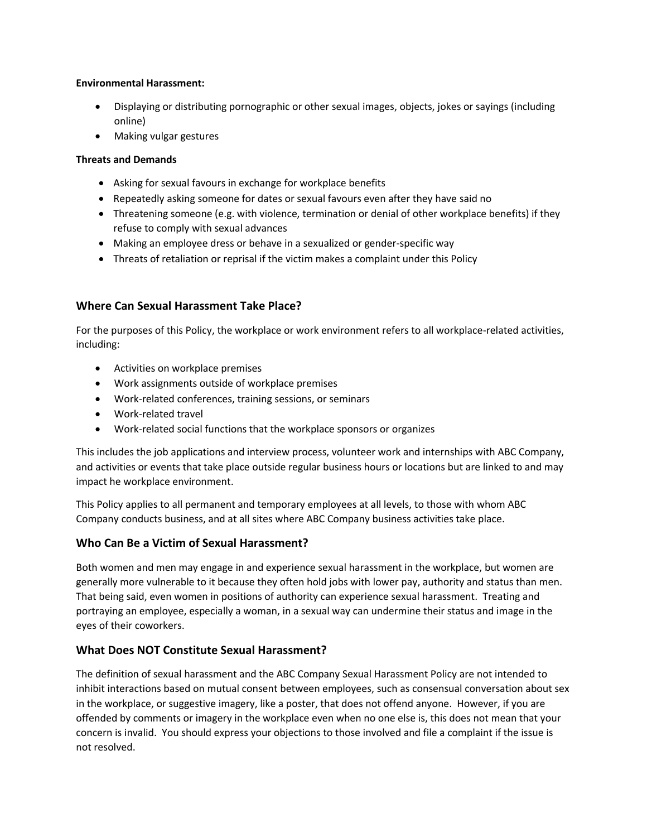#### **Environmental Harassment:**

- Displaying or distributing pornographic or other sexual images, objects, jokes or sayings (including online)
- Making vulgar gestures

#### **Threats and Demands**

- Asking for sexual favours in exchange for workplace benefits
- Repeatedly asking someone for dates or sexual favours even after they have said no
- Threatening someone (e.g. with violence, termination or denial of other workplace benefits) if they refuse to comply with sexual advances
- Making an employee dress or behave in a sexualized or gender-specific way
- Threats of retaliation or reprisal if the victim makes a complaint under this Policy

# **Where Can Sexual Harassment Take Place?**

For the purposes of this Policy, the workplace or work environment refers to all workplace-related activities, including:

- Activities on workplace premises
- Work assignments outside of workplace premises
- Work-related conferences, training sessions, or seminars
- Work-related travel
- Work-related social functions that the workplace sponsors or organizes

This includes the job applications and interview process, volunteer work and internships with ABC Company, and activities or events that take place outside regular business hours or locations but are linked to and may impact he workplace environment.

This Policy applies to all permanent and temporary employees at all levels, to those with whom ABC Company conducts business, and at all sites where ABC Company business activities take place.

# **Who Can Be a Victim of Sexual Harassment?**

Both women and men may engage in and experience sexual harassment in the workplace, but women are generally more vulnerable to it because they often hold jobs with lower pay, authority and status than men. That being said, even women in positions of authority can experience sexual harassment. Treating and portraying an employee, especially a woman, in a sexual way can undermine their status and image in the eyes of their coworkers.

# **What Does NOT Constitute Sexual Harassment?**

The definition of sexual harassment and the ABC Company Sexual Harassment Policy are not intended to inhibit interactions based on mutual consent between employees, such as consensual conversation about sex in the workplace, or suggestive imagery, like a poster, that does not offend anyone. However, if you are offended by comments or imagery in the workplace even when no one else is, this does not mean that your concern is invalid. You should express your objections to those involved and file a complaint if the issue is not resolved.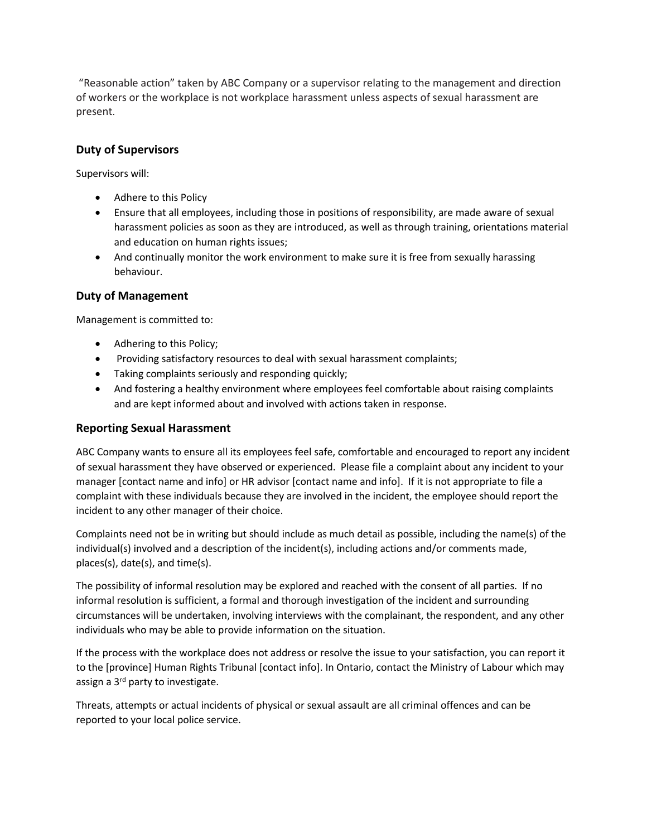"Reasonable action" taken by ABC Company or a supervisor relating to the management and direction of workers or the workplace is not workplace harassment unless aspects of sexual harassment are present.

# **Duty of Supervisors**

Supervisors will:

- Adhere to this Policy
- Ensure that all employees, including those in positions of responsibility, are made aware of sexual harassment policies as soon as they are introduced, as well as through training, orientations material and education on human rights issues;
- And continually monitor the work environment to make sure it is free from sexually harassing behaviour.

#### **Duty of Management**

Management is committed to:

- Adhering to this Policy;
- Providing satisfactory resources to deal with sexual harassment complaints;
- Taking complaints seriously and responding quickly;
- And fostering a healthy environment where employees feel comfortable about raising complaints and are kept informed about and involved with actions taken in response.

#### **Reporting Sexual Harassment**

ABC Company wants to ensure all its employees feel safe, comfortable and encouraged to report any incident of sexual harassment they have observed or experienced. Please file a complaint about any incident to your manager [contact name and info] or HR advisor [contact name and info]. If it is not appropriate to file a complaint with these individuals because they are involved in the incident, the employee should report the incident to any other manager of their choice.

Complaints need not be in writing but should include as much detail as possible, including the name(s) of the individual(s) involved and a description of the incident(s), including actions and/or comments made, places(s), date(s), and time(s).

The possibility of informal resolution may be explored and reached with the consent of all parties. If no informal resolution is sufficient, a formal and thorough investigation of the incident and surrounding circumstances will be undertaken, involving interviews with the complainant, the respondent, and any other individuals who may be able to provide information on the situation.

If the process with the workplace does not address or resolve the issue to your satisfaction, you can report it to the [province] Human Rights Tribunal [contact info]. In Ontario, contact the Ministry of Labour which may assign a 3<sup>rd</sup> party to investigate.

Threats, attempts or actual incidents of physical or sexual assault are all criminal offences and can be reported to your local police service.